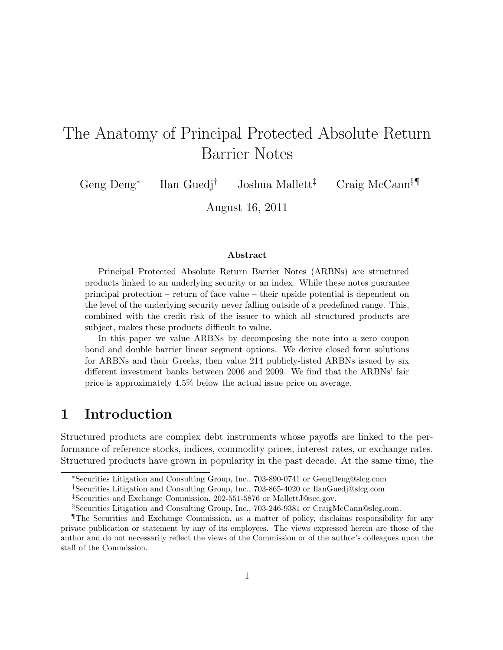# The Anatomy of Principal Protected Absolute Return Barrier Notes

Geng Deng*<sup>∗</sup>* Ilan Guedj*†* Joshua Mallett*‡* Craig McCann*§¶*

August 16, 2011

#### **Abstract**

Principal Protected Absolute Return Barrier Notes (ARBNs) are structured products linked to an underlying security or an index. While these notes guarantee principal protection – return of face value – their upside potential is dependent on the level of the underlying security never falling outside of a predefined range. This, combined with the credit risk of the issuer to which all structured products are subject, makes these products difficult to value.

In this paper we value ARBNs by decomposing the note into a zero coupon bond and double barrier linear segment options. We derive closed form solutions for ARBNs and their Greeks, then value 214 publicly-listed ARBNs issued by six different investment banks between 2006 and 2009. We find that the ARBNs' fair price is approximately 4.5% below the actual issue price on average.

### **1 Introduction**

Structured products are complex debt instruments whose payoffs are linked to the performance of reference stocks, indices, commodity prices, interest rates, or exchange rates. Structured products have grown in popularity in the past decade. At the same time, the

*<sup>∗</sup>*Securities Litigation and Consulting Group, Inc., 703-890-0741 or GengDeng@slcg.com

*<sup>†</sup>*Securities Litigation and Consulting Group, Inc., 703-865-4020 or IlanGuedj@slcg.com

*<sup>‡</sup>*Securities and Exchange Commission, 202-551-5876 or MallettJ@sec.gov.

*<sup>§</sup>*Securities Litigation and Consulting Group, Inc., 703-246-9381 or CraigMcCann@slcg.com.

**The Securities and Exchange Commission, as a matter of policy, disclaims responsibility for any** private publication or statement by any of its employees. The views expressed herein are those of the author and do not necessarily reflect the views of the Commission or of the author's colleagues upon the staff of the Commission.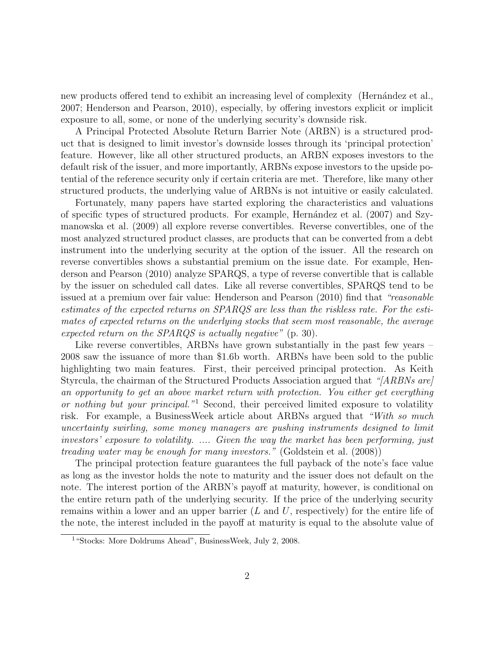new products offered tend to exhibit an increasing level of complexity (Hernández et al., 2007; Henderson and Pearson, 2010), especially, by offering investors explicit or implicit exposure to all, some, or none of the underlying security's downside risk.

A Principal Protected Absolute Return Barrier Note (ARBN) is a structured product that is designed to limit investor's downside losses through its 'principal protection' feature. However, like all other structured products, an ARBN exposes investors to the default risk of the issuer, and more importantly, ARBNs expose investors to the upside potential of the reference security only if certain criteria are met. Therefore, like many other structured products, the underlying value of ARBNs is not intuitive or easily calculated.

Fortunately, many papers have started exploring the characteristics and valuations of specific types of structured products. For example, Hern´andez et al. (2007) and Szymanowska et al. (2009) all explore reverse convertibles. Reverse convertibles, one of the most analyzed structured product classes, are products that can be converted from a debt instrument into the underlying security at the option of the issuer. All the research on reverse convertibles shows a substantial premium on the issue date. For example, Henderson and Pearson (2010) analyze SPARQS, a type of reverse convertible that is callable by the issuer on scheduled call dates. Like all reverse convertibles, SPARQS tend to be issued at a premium over fair value: Henderson and Pearson (2010) find that *"reasonable estimates of the expected returns on SPARQS are less than the riskless rate. For the estimates of expected returns on the underlying stocks that seem most reasonable, the average expected return on the SPARQS is actually negative"* (p. 30).

Like reverse convertibles, ARBNs have grown substantially in the past few years – 2008 saw the issuance of more than \$1.6b worth. ARBNs have been sold to the public highlighting two main features. First, their perceived principal protection. As Keith Styrcula, the chairman of the Structured Products Association argued that *"[ARBNs are] an opportunity to get an above market return with protection. You either get everything or nothing but your principal."*<sup>1</sup> Second, their perceived limited exposure to volatility risk. For example, a BusinessWeek article about ARBNs argued that *"With so much uncertainty swirling, some money managers are pushing instruments designed to limit investors' exposure to volatility. .... Given the way the market has been performing, just treading water may be enough for many investors."* (Goldstein et al. (2008))

The principal protection feature guarantees the full payback of the note's face value as long as the investor holds the note to maturity and the issuer does not default on the note. The interest portion of the ARBN's payoff at maturity, however, is conditional on the entire return path of the underlying security. If the price of the underlying security remains within a lower and an upper barrier (*L* and *U*, respectively) for the entire life of the note, the interest included in the payoff at maturity is equal to the absolute value of

<sup>&</sup>lt;sup>1</sup> "Stocks: More Doldrums Ahead", BusinessWeek, July 2, 2008.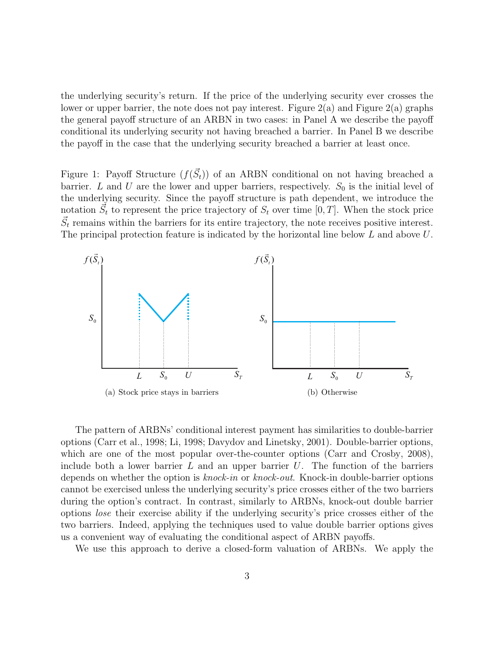the underlying security's return. If the price of the underlying security ever crosses the lower or upper barrier, the note does not pay interest. Figure  $2(a)$  and Figure  $2(a)$  graphs the general payoff structure of an ARBN in two cases: in Panel A we describe the payoff conditional its underlying security not having breached a barrier. In Panel B we describe the payoff in the case that the underlying security breached a barrier at least once.

Figure 1: Payoff Structure  $(f(\vec{S}_t))$  of an ARBN conditional on not having breached a barrier. *L* and *U* are the lower and upper barriers, respectively.  $S_0$  is the initial level of the underlying security. Since the payoff structure is path dependent, we introduce the notation  $\vec{S}_t$  to represent the price trajectory of  $S_t$  over time  $[0, T]$ . When the stock price  $\vec{S}_t$  remains within the barriers for its entire trajectory, the note receives positive interest. The principal protection feature is indicated by the horizontal line below *L* and above *U*.



The pattern of ARBNs' conditional interest payment has similarities to double-barrier options (Carr et al., 1998; Li, 1998; Davydov and Linetsky, 2001). Double-barrier options, which are one of the most popular over-the-counter options (Carr and Crosby, 2008), include both a lower barrier *L* and an upper barrier *U*. The function of the barriers depends on whether the option is *knock-in* or *knock-out*. Knock-in double-barrier options cannot be exercised unless the underlying security's price crosses either of the two barriers during the option's contract. In contrast, similarly to ARBNs, knock-out double barrier options *lose* their exercise ability if the underlying security's price crosses either of the two barriers. Indeed, applying the techniques used to value double barrier options gives us a convenient way of evaluating the conditional aspect of ARBN payoffs.

We use this approach to derive a closed-form valuation of ARBNs. We apply the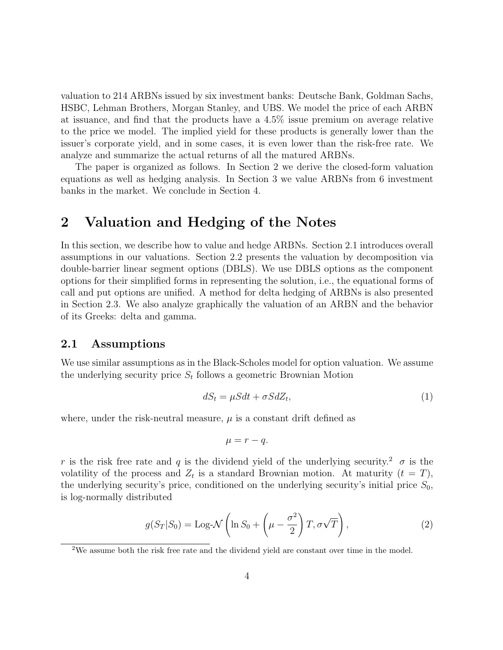valuation to 214 ARBNs issued by six investment banks: Deutsche Bank, Goldman Sachs, HSBC, Lehman Brothers, Morgan Stanley, and UBS. We model the price of each ARBN at issuance, and find that the products have a 4.5% issue premium on average relative to the price we model. The implied yield for these products is generally lower than the issuer's corporate yield, and in some cases, it is even lower than the risk-free rate. We analyze and summarize the actual returns of all the matured ARBNs.

The paper is organized as follows. In Section 2 we derive the closed-form valuation equations as well as hedging analysis. In Section 3 we value ARBNs from 6 investment banks in the market. We conclude in Section 4.

### **2 Valuation and Hedging of the Notes**

In this section, we describe how to value and hedge ARBNs. Section 2.1 introduces overall assumptions in our valuations. Section 2.2 presents the valuation by decomposition via double-barrier linear segment options (DBLS). We use DBLS options as the component options for their simplified forms in representing the solution, i.e., the equational forms of call and put options are unified. A method for delta hedging of ARBNs is also presented in Section 2.3. We also analyze graphically the valuation of an ARBN and the behavior of its Greeks: delta and gamma.

#### **2.1 Assumptions**

We use similar assumptions as in the Black-Scholes model for option valuation. We assume the underlying security price  $S_t$  follows a geometric Brownian Motion

$$
dS_t = \mu S dt + \sigma S dZ_t,\tag{1}
$$

where, under the risk-neutral measure,  $\mu$  is a constant drift defined as

$$
\mu = r - q.
$$

*r* is the risk free rate and *q* is the dividend yield of the underlying security.<sup>2</sup>  $\sigma$  is the volatility of the process and  $Z_t$  is a standard Brownian motion. At maturity  $(t = T)$ , the underlying security's price, conditioned on the underlying security's initial price  $S_0$ , is log-normally distributed

$$
g(S_T|S_0) = \text{Log-}\mathcal{N}\left(\ln S_0 + \left(\mu - \frac{\sigma^2}{2}\right)T, \sigma\sqrt{T}\right),\tag{2}
$$

<sup>&</sup>lt;sup>2</sup>We assume both the risk free rate and the dividend yield are constant over time in the model.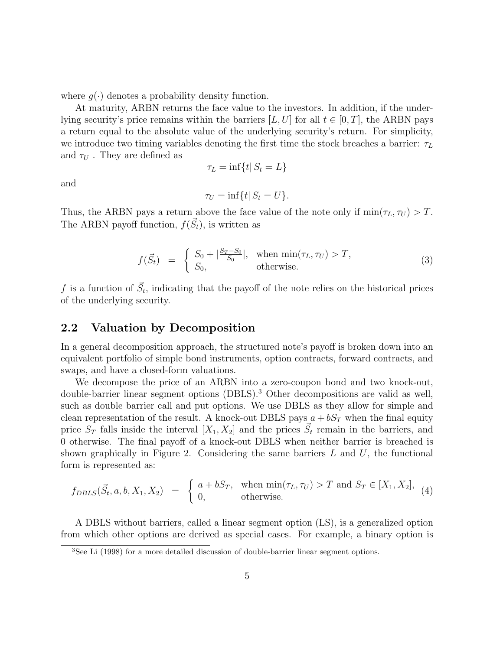where  $q(\cdot)$  denotes a probability density function.

At maturity, ARBN returns the face value to the investors. In addition, if the underlying security's price remains within the barriers  $[L, U]$  for all  $t \in [0, T]$ , the ARBN pays a return equal to the absolute value of the underlying security's return. For simplicity, we introduce two timing variables denoting the first time the stock breaches a barrier: *τ<sup>L</sup>* and  $\tau_U$ . They are defined as

$$
\tau_L = \inf\{t | S_t = L\}
$$

and

$$
\tau_U = \inf\{t | S_t = U\}.
$$

Thus, the ARBN pays a return above the face value of the note only if  $\min(\tau_L, \tau_U) > T$ . The ARBN payoff function,  $f(\vec{S}_t)$ , is written as

$$
f(\vec{S}_t) = \begin{cases} S_0 + |\frac{S_T - S_0}{S_0}|, & \text{when } \min(\tau_L, \tau_U) > T, \\ S_0, & \text{otherwise.} \end{cases}
$$
 (3)

*f* is a function of  $\vec{S}_t$ , indicating that the payoff of the note relies on the historical prices of the underlying security.

#### **2.2 Valuation by Decomposition**

In a general decomposition approach, the structured note's payoff is broken down into an equivalent portfolio of simple bond instruments, option contracts, forward contracts, and swaps, and have a closed-form valuations.

We decompose the price of an ARBN into a zero-coupon bond and two knock-out, double-barrier linear segment options (DBLS).<sup>3</sup> Other decompositions are valid as well, such as double barrier call and put options. We use DBLS as they allow for simple and clean representation of the result. A knock-out DBLS pays  $a + bS_T$  when the final equity price  $S_T$  falls inside the interval  $[X_1, X_2]$  and the prices  $\vec{S}_t$  remain in the barriers, and 0 otherwise. The final payoff of a knock-out DBLS when neither barrier is breached is shown graphically in Figure 2. Considering the same barriers *L* and *U*, the functional form is represented as:

$$
f_{DBLS}(\vec{S}_t, a, b, X_1, X_2) = \begin{cases} a + bS_T, & \text{when } \min(\tau_L, \tau_U) > T \text{ and } S_T \in [X_1, X_2], \\ 0, & \text{otherwise.} \end{cases}
$$
(4)

A DBLS without barriers, called a linear segment option (LS), is a generalized option from which other options are derived as special cases. For example, a binary option is

<sup>3</sup>See Li (1998) for a more detailed discussion of double-barrier linear segment options.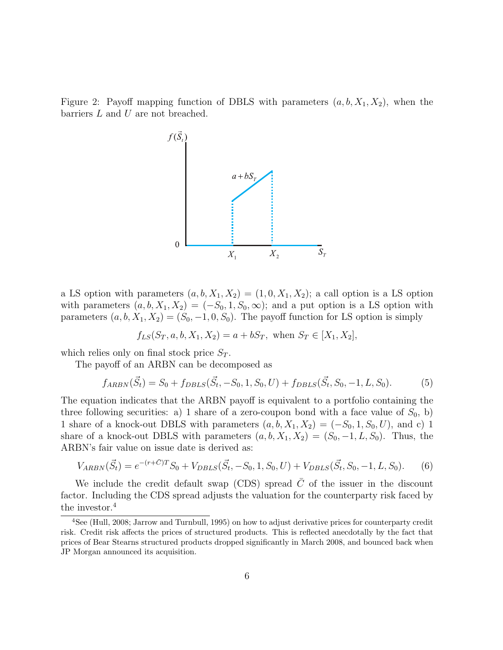Figure 2: Payoff mapping function of DBLS with parameters  $(a, b, X_1, X_2)$ , when the barriers *L* and *U* are not breached.



a LS option with parameters  $(a, b, X_1, X_2) = (1, 0, X_1, X_2)$ ; a call option is a LS option with parameters  $(a, b, X_1, X_2) = (-S_0, 1, S_0, \infty)$ ; and a put option is a LS option with parameters  $(a, b, X_1, X_2) = (S_0, -1, 0, S_0)$ . The payoff function for LS option is simply

$$
f_{LS}(S_T, a, b, X_1, X_2) = a + bS_T
$$
, when  $S_T \in [X_1, X_2]$ ,

which relies only on final stock price  $S_T$ .

The payoff of an ARBN can be decomposed as

$$
f_{ARBN}(\vec{S}_t) = S_0 + f_{DBLS}(\vec{S}_t, -S_0, 1, S_0, U) + f_{DBLS}(\vec{S}_t, S_0, -1, L, S_0).
$$
(5)

The equation indicates that the ARBN payoff is equivalent to a portfolio containing the three following securities: a) 1 share of a zero-coupon bond with a face value of  $S_0$ , b) 1 share of a knock-out DBLS with parameters  $(a, b, X_1, X_2) = (-S_0, 1, S_0, U)$ , and c) 1 share of a knock-out DBLS with parameters  $(a, b, X_1, X_2) = (S_0, -1, L, S_0)$ . Thus, the ARBN's fair value on issue date is derived as:

$$
V_{ARBN}(\vec{S}_t) = e^{-(r+\bar{C})T}S_0 + V_{DBLS}(\vec{S}_t, -S_0, 1, S_0, U) + V_{DBLS}(\vec{S}_t, S_0, -1, L, S_0).
$$
(6)

We include the credit default swap (CDS) spread  $\bar{C}$  of the issuer in the discount factor. Including the CDS spread adjusts the valuation for the counterparty risk faced by the investor.<sup>4</sup>

<sup>4</sup>See (Hull, 2008; Jarrow and Turnbull, 1995) on how to adjust derivative prices for counterparty credit risk. Credit risk affects the prices of structured products. This is reflected anecdotally by the fact that prices of Bear Stearns structured products dropped significantly in March 2008, and bounced back when JP Morgan announced its acquisition.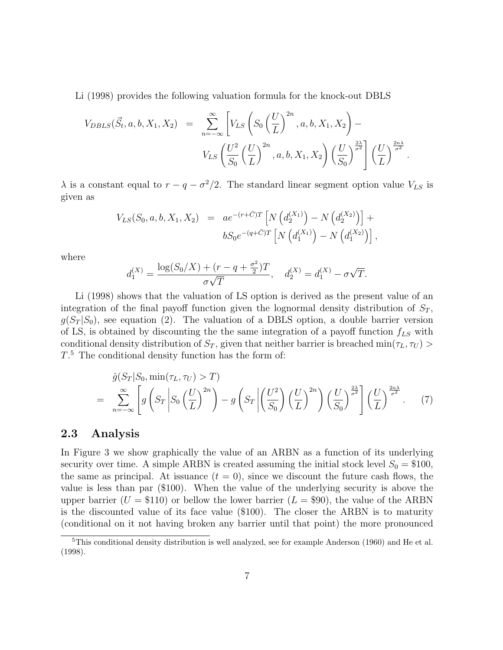Li (1998) provides the following valuation formula for the knock-out DBLS

$$
V_{DBLS}(\vec{S}_t, a, b, X_1, X_2) = \sum_{n=-\infty}^{\infty} \left[ V_{LS} \left( S_0 \left( \frac{U}{L} \right)^{2n}, a, b, X_1, X_2 \right) - V_{LS} \left( \frac{U^2}{S_0} \left( \frac{U}{L} \right)^{2n}, a, b, X_1, X_2 \right) \left( \frac{U}{S_0} \right)^{\frac{2\lambda}{\sigma^2}} \right] \left( \frac{U}{L} \right)^{\frac{2n\lambda}{\sigma^2}}.
$$

 $\lambda$  is a constant equal to  $r - q - \sigma^2/2$ . The standard linear segment option value  $V_{LS}$  is given as

$$
V_{LS}(S_0, a, b, X_1, X_2) = a e^{-(r+\bar{C})T} \left[ N \left( d_2^{(X_1)} \right) - N \left( d_2^{(X_2)} \right) \right] + b S_0 e^{-(q+\bar{C})T} \left[ N \left( d_1^{(X_1)} \right) - N \left( d_1^{(X_2)} \right) \right],
$$

where

$$
d_1^{(X)} = \frac{\log(S_0/X) + (r - q + \frac{\sigma^2}{2})T}{\sigma\sqrt{T}}, \quad d_2^{(X)} = d_1^{(X)} - \sigma\sqrt{T}.
$$

Li (1998) shows that the valuation of LS option is derived as the present value of an integration of the final payoff function given the lognormal density distribution of  $S_T$ ,  $g(S_T|S_0)$ , see equation (2). The valuation of a DBLS option, a double barrier version of LS, is obtained by discounting the the same integration of a payoff function *fLS* with conditional density distribution of  $S_T$ , given that neither barrier is breached min $(\tau_L, \tau_U)$  > *T*. <sup>5</sup> The conditional density function has the form of:

$$
\hat{g}(S_T|S_0, \min(\tau_L, \tau_U) > T)
$$
\n
$$
= \sum_{n=-\infty}^{\infty} \left[ g\left(S_T \middle| S_0\left(\frac{U}{L}\right)^{2n}\right) - g\left(S_T \middle| \left(\frac{U^2}{S_0}\right)\left(\frac{U}{L}\right)^{2n}\right) \left(\frac{U}{S_0}\right)^{\frac{2\lambda}{\sigma^2}} \right] \left(\frac{U}{L}\right)^{\frac{2n\lambda}{\sigma^2}}.
$$
\n(7)

#### **2.3 Analysis**

In Figure 3 we show graphically the value of an ARBN as a function of its underlying security over time. A simple ARBN is created assuming the initial stock level  $S_0 = \$100$ , the same as principal. At issuance  $(t = 0)$ , since we discount the future cash flows, the value is less than par (\$100). When the value of the underlying security is above the upper barrier  $(U = $110)$  or bellow the lower barrier  $(L = $90)$ , the value of the ARBN is the discounted value of its face value (\$100). The closer the ARBN is to maturity (conditional on it not having broken any barrier until that point) the more pronounced

<sup>5</sup>This conditional density distribution is well analyzed, see for example Anderson (1960) and He et al. (1998).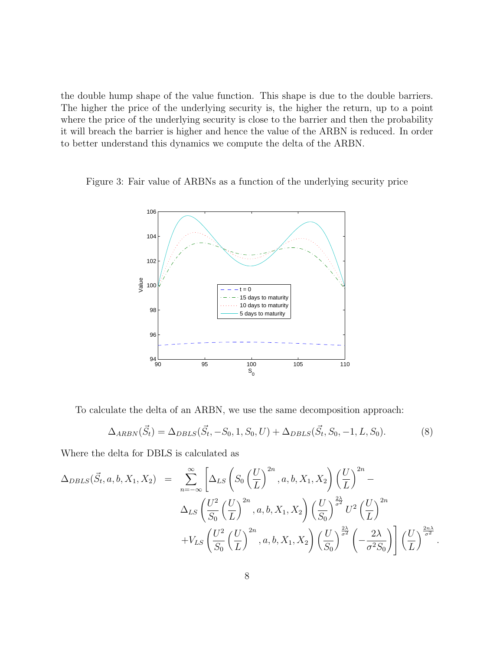the double hump shape of the value function. This shape is due to the double barriers. The higher the price of the underlying security is, the higher the return, up to a point where the price of the underlying security is close to the barrier and then the probability it will breach the barrier is higher and hence the value of the ARBN is reduced. In order to better understand this dynamics we compute the delta of the ARBN.

Figure 3: Fair value of ARBNs as a function of the underlying security price



To calculate the delta of an ARBN, we use the same decomposition approach:

$$
\Delta_{ARBN}(\vec{S}_t) = \Delta_{DBLS}(\vec{S}_t, -S_0, 1, S_0, U) + \Delta_{DBLS}(\vec{S}_t, S_0, -1, L, S_0).
$$
\n(8)

Where the delta for DBLS is calculated as

$$
\Delta_{DBLS}(\vec{S}_t, a, b, X_1, X_2) = \sum_{n=-\infty}^{\infty} \left[ \Delta_{LS} \left( S_0 \left( \frac{U}{L} \right)^{2n}, a, b, X_1, X_2 \right) \left( \frac{U}{L} \right)^{2n} - \Delta_{LS} \left( \frac{U^2}{S_0} \left( \frac{U}{L} \right)^{2n}, a, b, X_1, X_2 \right) \left( \frac{U}{S_0} \right)^{\frac{2\lambda}{\sigma^2}} U^2 \left( \frac{U}{L} \right)^{2n} + V_{LS} \left( \frac{U^2}{S_0} \left( \frac{U}{L} \right)^{2n}, a, b, X_1, X_2 \right) \left( \frac{U}{S_0} \right)^{\frac{2\lambda}{\sigma^2}} \left( -\frac{2\lambda}{\sigma^2 S_0} \right) \right] \left( \frac{U}{L} \right)^{\frac{2n\lambda}{\sigma^2}}.
$$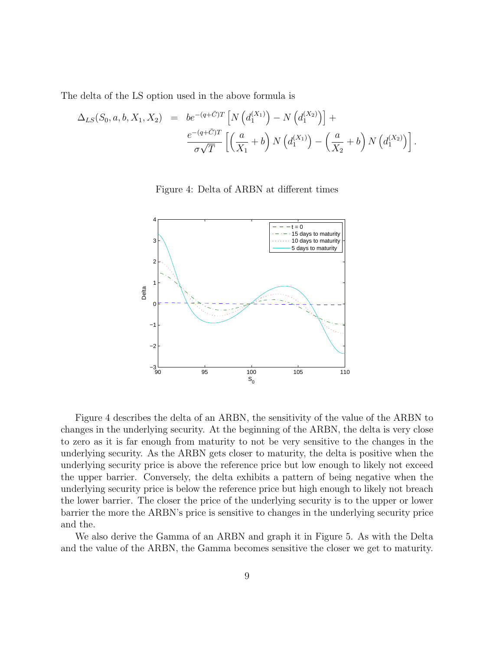The delta of the LS option used in the above formula is

$$
\Delta_{LS}(S_0, a, b, X_1, X_2) = be^{-(q+\bar{C})T} \left[ N \left( d_1^{(X_1)} \right) - N \left( d_1^{(X_2)} \right) \right] +
$$
  

$$
\frac{e^{-(q+\bar{C})T}}{\sigma \sqrt{T}} \left[ \left( \frac{a}{X_1} + b \right) N \left( d_1^{(X_1)} \right) - \left( \frac{a}{X_2} + b \right) N \left( d_1^{(X_2)} \right) \right].
$$

Figure 4: Delta of ARBN at different times



Figure 4 describes the delta of an ARBN, the sensitivity of the value of the ARBN to changes in the underlying security. At the beginning of the ARBN, the delta is very close to zero as it is far enough from maturity to not be very sensitive to the changes in the underlying security. As the ARBN gets closer to maturity, the delta is positive when the underlying security price is above the reference price but low enough to likely not exceed the upper barrier. Conversely, the delta exhibits a pattern of being negative when the underlying security price is below the reference price but high enough to likely not breach the lower barrier. The closer the price of the underlying security is to the upper or lower barrier the more the ARBN's price is sensitive to changes in the underlying security price and the.

We also derive the Gamma of an ARBN and graph it in Figure 5. As with the Delta and the value of the ARBN, the Gamma becomes sensitive the closer we get to maturity.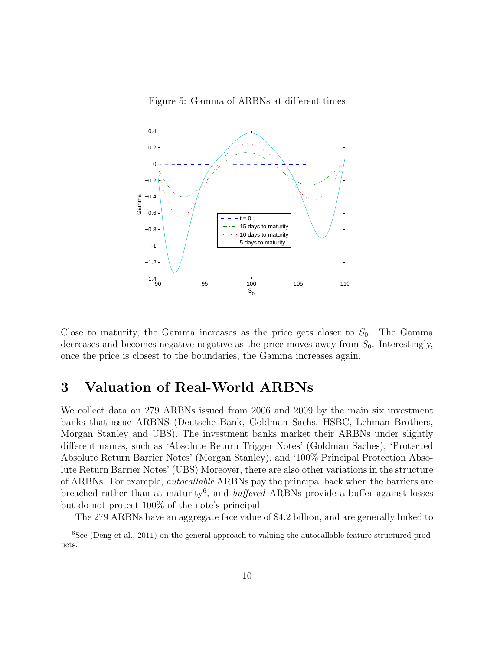Figure 5: Gamma of ARBNs at different times



Close to maturity, the Gamma increases as the price gets closer to  $S_0$ . The Gamma decreases and becomes negative negative as the price moves away from  $S_0$ . Interestingly, once the price is closest to the boundaries, the Gamma increases again.

### **3 Valuation of Real-World ARBNs**

We collect data on 279 ARBNs issued from 2006 and 2009 by the main six investment banks that issue ARBNS (Deutsche Bank, Goldman Sachs, HSBC, Lehman Brothers, Morgan Stanley and UBS). The investment banks market their ARBNs under slightly different names, such as 'Absolute Return Trigger Notes' (Goldman Saches), 'Protected Absolute Return Barrier Notes' (Morgan Stanley), and '100% Principal Protection Absolute Return Barrier Notes' (UBS) Moreover, there are also other variations in the structure of ARBNs. For example, *autocallable* ARBNs pay the principal back when the barriers are breached rather than at maturity<sup>6</sup>, and *buffered* ARBNs provide a buffer against losses but do not protect 100% of the note's principal.

The 279 ARBNs have an aggregate face value of \$4.2 billion, and are generally linked to

<sup>&</sup>lt;sup>6</sup>See (Deng et al., 2011) on the general approach to valuing the autocallable feature structured products.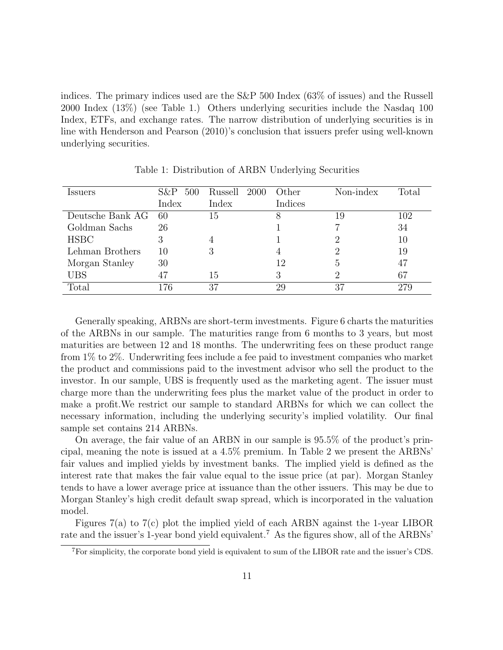indices. The primary indices used are the S&P 500 Index (63% of issues) and the Russell 2000 Index (13%) (see Table 1.) Others underlying securities include the Nasdaq 100 Index, ETFs, and exchange rates. The narrow distribution of underlying securities is in line with Henderson and Pearson (2010)'s conclusion that issuers prefer using well-known underlying securities.

| Issuers          | 500<br>S&P | Russell 2000 | Other   | Non-index | Total |
|------------------|------------|--------------|---------|-----------|-------|
|                  | Index      | Index        | Indices |           |       |
| Deutsche Bank AG | 60         | 15           |         | 19        | 102   |
| Goldman Sachs    | 26         |              |         |           | 34    |
| <b>HSBC</b>      |            |              |         |           | 10    |
| Lehman Brothers  | 10         |              |         |           | 19    |
| Morgan Stanley   | 30         |              | 12      |           | 47    |
| <b>UBS</b>       | 47         | 15           |         |           | 67    |
| Total            | 76         | 37           | 29      | 37        |       |

Table 1: Distribution of ARBN Underlying Securities

Generally speaking, ARBNs are short-term investments. Figure 6 charts the maturities of the ARBNs in our sample. The maturities range from 6 months to 3 years, but most maturities are between 12 and 18 months. The underwriting fees on these product range from 1% to 2%. Underwriting fees include a fee paid to investment companies who market the product and commissions paid to the investment advisor who sell the product to the investor. In our sample, UBS is frequently used as the marketing agent. The issuer must charge more than the underwriting fees plus the market value of the product in order to make a profit.We restrict our sample to standard ARBNs for which we can collect the necessary information, including the underlying security's implied volatility. Our final sample set contains 214 ARBNs.

On average, the fair value of an ARBN in our sample is 95.5% of the product's principal, meaning the note is issued at a 4.5% premium. In Table 2 we present the ARBNs' fair values and implied yields by investment banks. The implied yield is defined as the interest rate that makes the fair value equal to the issue price (at par). Morgan Stanley tends to have a lower average price at issuance than the other issuers. This may be due to Morgan Stanley's high credit default swap spread, which is incorporated in the valuation model.

Figures 7(a) to 7(c) plot the implied yield of each ARBN against the 1-year LIBOR rate and the issuer's 1-year bond yield equivalent.<sup>7</sup> As the figures show, all of the ARBNs'

<sup>7</sup>For simplicity, the corporate bond yield is equivalent to sum of the LIBOR rate and the issuer's CDS.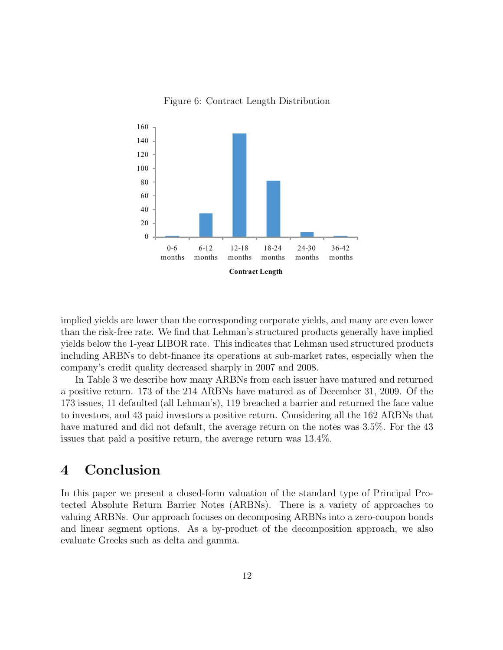

Figure 6: Contract Length Distribution

implied yields are lower than the corresponding corporate yields, and many are even lower than the risk-free rate. We find that Lehman's structured products generally have implied yields below the 1-year LIBOR rate. This indicates that Lehman used structured products including ARBNs to debt-finance its operations at sub-market rates, especially when the company's credit quality decreased sharply in 2007 and 2008.

In Table 3 we describe how many ARBNs from each issuer have matured and returned a positive return. 173 of the 214 ARBNs have matured as of December 31, 2009. Of the 173 issues, 11 defaulted (all Lehman's), 119 breached a barrier and returned the face value to investors, and 43 paid investors a positive return. Considering all the 162 ARBNs that have matured and did not default, the average return on the notes was 3.5%. For the 43 issues that paid a positive return, the average return was 13.4%.

### **4 Conclusion**

In this paper we present a closed-form valuation of the standard type of Principal Protected Absolute Return Barrier Notes (ARBNs). There is a variety of approaches to valuing ARBNs. Our approach focuses on decomposing ARBNs into a zero-coupon bonds and linear segment options. As a by-product of the decomposition approach, we also evaluate Greeks such as delta and gamma.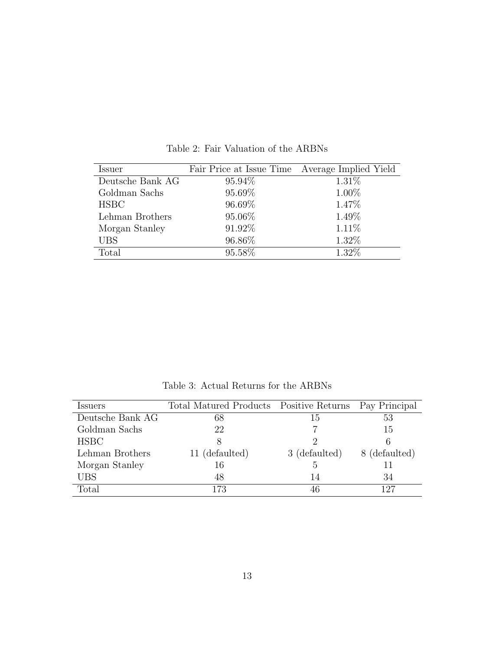| Issuer           | Fair Price at Issue Time | Average Implied Yield |
|------------------|--------------------------|-----------------------|
| Deutsche Bank AG | 95.94\%                  | 1.31\%                |
| Goldman Sachs    | 95.69%                   | 1.00%                 |
| <b>HSBC</b>      | 96.69%                   | 1.47\%                |
| Lehman Brothers  | 95.06%                   | 1.49%                 |
| Morgan Stanley   | 91.92%                   | $1.11\%$              |
| <b>UBS</b>       | 96.86%                   | 1.32%                 |
| Total            | 95.58%                   | 1.32%                 |

Table 2: Fair Valuation of the ARBNs

Table 3: Actual Returns for the ARBNs

| <i>Issuers</i>   | Total Matured Products Positive Returns Pay Principal |               |               |
|------------------|-------------------------------------------------------|---------------|---------------|
| Deutsche Bank AG | 68                                                    | 15            | 53            |
| Goldman Sachs    | 22                                                    |               | 15            |
| <b>HSBC</b>      |                                                       |               |               |
| Lehman Brothers  | 11 (defaulted)                                        | 3 (defaulted) | 8 (defaulted) |
| Morgan Stanley   | 16                                                    | $\ddot{c}$    |               |
| UBS              | 48                                                    | 14            | 34            |
| Total            | 173                                                   | 46            | 197           |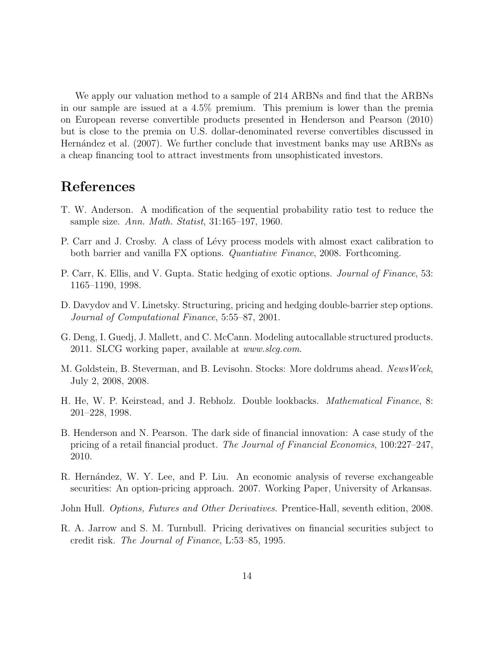We apply our valuation method to a sample of 214 ARBNs and find that the ARBNs in our sample are issued at a 4.5% premium. This premium is lower than the premia on European reverse convertible products presented in Henderson and Pearson (2010) but is close to the premia on U.S. dollar-denominated reverse convertibles discussed in Hernández et al. (2007). We further conclude that investment banks may use ARBNs as a cheap financing tool to attract investments from unsophisticated investors.

## **References**

- T. W. Anderson. A modification of the sequential probability ratio test to reduce the sample size. *Ann. Math. Statist*, 31:165–197, 1960.
- P. Carr and J. Crosby. A class of Lévy process models with almost exact calibration to both barrier and vanilla FX options. *Quantiative Finance*, 2008. Forthcoming.
- P. Carr, K. Ellis, and V. Gupta. Static hedging of exotic options. *Journal of Finance*, 53: 1165–1190, 1998.
- D. Davydov and V. Linetsky. Structuring, pricing and hedging double-barrier step options. *Journal of Computational Finance*, 5:55–87, 2001.
- G. Deng, I. Guedj, J. Mallett, and C. McCann. Modeling autocallable structured products. 2011. SLCG working paper, available at *www.slcg.com*.
- M. Goldstein, B. Steverman, and B. Levisohn. Stocks: More doldrums ahead. *NewsWeek*, July 2, 2008, 2008.
- H. He, W. P. Keirstead, and J. Rebholz. Double lookbacks. *Mathematical Finance*, 8: 201–228, 1998.
- B. Henderson and N. Pearson. The dark side of financial innovation: A case study of the pricing of a retail financial product. *The Journal of Financial Economics*, 100:227–247, 2010.
- R. Hernández, W. Y. Lee, and P. Liu. An economic analysis of reverse exchangeable securities: An option-pricing approach. 2007. Working Paper, University of Arkansas.
- John Hull. *Options, Futures and Other Derivatives*. Prentice-Hall, seventh edition, 2008.
- R. A. Jarrow and S. M. Turnbull. Pricing derivatives on financial securities subject to credit risk. *The Journal of Finance*, L:53–85, 1995.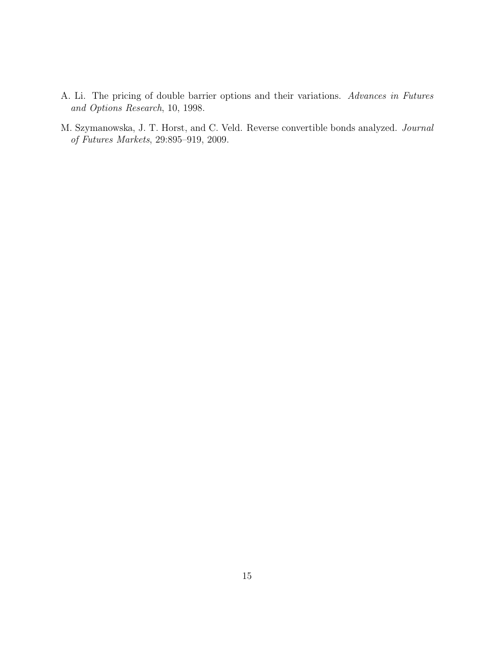- A. Li. The pricing of double barrier options and their variations. *Advances in Futures and Options Research*, 10, 1998.
- M. Szymanowska, J. T. Horst, and C. Veld. Reverse convertible bonds analyzed. *Journal of Futures Markets*, 29:895–919, 2009.